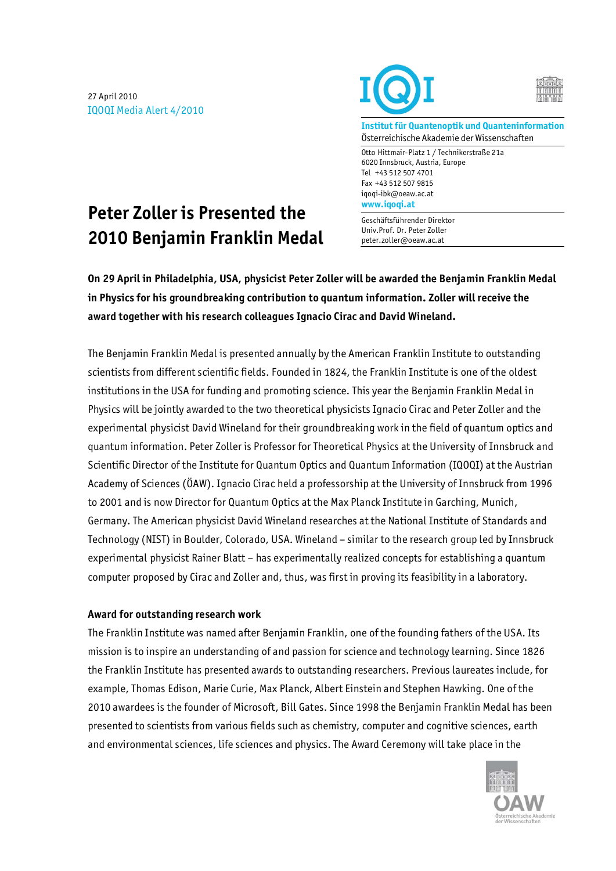27 April 2010 IQOQI Media Alert 4/2010





**Institut für Quantenoptik und Quanteninformation**  Österreichische Akademie der Wissenschaften

Otto Hittmair-Platz 1 / Technikerstraße 21a 6020 Innsbruck, Austria, Europe Tel +43 512 507 4701 Fax +43 512 507 9815 iqoqi-ibk@oeaw.ac.at **www.iqoqi.at** 

#### Geschäftsführender Direktor Univ.Prof. Dr. Peter Zoller peter.zoller@oeaw.ac.at

# **Peter Zoller is Presented the 2010 Benjamin Franklin Medal**

**On 29 April in Philadelphia, USA, physicist Peter Zoller will be awarded the Benjamin Franklin Medal in Physics for his groundbreaking contribution to quantum information. Zoller will receive the award together with his research colleagues Ignacio Cirac and David Wineland.** 

The Benjamin Franklin Medal is presented annually by the American Franklin Institute to outstanding scientists from different scientific fields. Founded in 1824, the Franklin Institute is one of the oldest institutions in the USA for funding and promoting science. This year the Benjamin Franklin Medal in Physics will be jointly awarded to the two theoretical physicists Ignacio Cirac and Peter Zoller and the experimental physicist David Wineland for their groundbreaking work in the field of quantum optics and quantum information. Peter Zoller is Professor for Theoretical Physics at the University of Innsbruck and Scientific Director of the Institute for Quantum Optics and Quantum Information (IQOQI) at the Austrian Academy of Sciences (ÖAW). Ignacio Cirac held a professorship at the University of Innsbruck from 1996 to 2001 and is now Director for Quantum Optics at the Max Planck Institute in Garching, Munich, Germany. The American physicist David Wineland researches at the National Institute of Standards and Technology (NIST) in Boulder, Colorado, USA. Wineland – similar to the research group led by Innsbruck experimental physicist Rainer Blatt – has experimentally realized concepts for establishing a quantum computer proposed by Cirac and Zoller and, thus, was first in proving its feasibility in a laboratory.

## **Award for outstanding research work**

The Franklin Institute was named after Benjamin Franklin, one of the founding fathers of the USA. Its mission is to inspire an understanding of and passion for science and technology learning. Since 1826 the Franklin Institute has presented awards to outstanding researchers. Previous laureates include, for example, Thomas Edison, Marie Curie, Max Planck, Albert Einstein and Stephen Hawking. One of the 2010 awardees is the founder of Microsoft, Bill Gates. Since 1998 the Benjamin Franklin Medal has been presented to scientists from various fields such as chemistry, computer and cognitive sciences, earth and environmental sciences, life sciences and physics. The Award Ceremony will take place in the